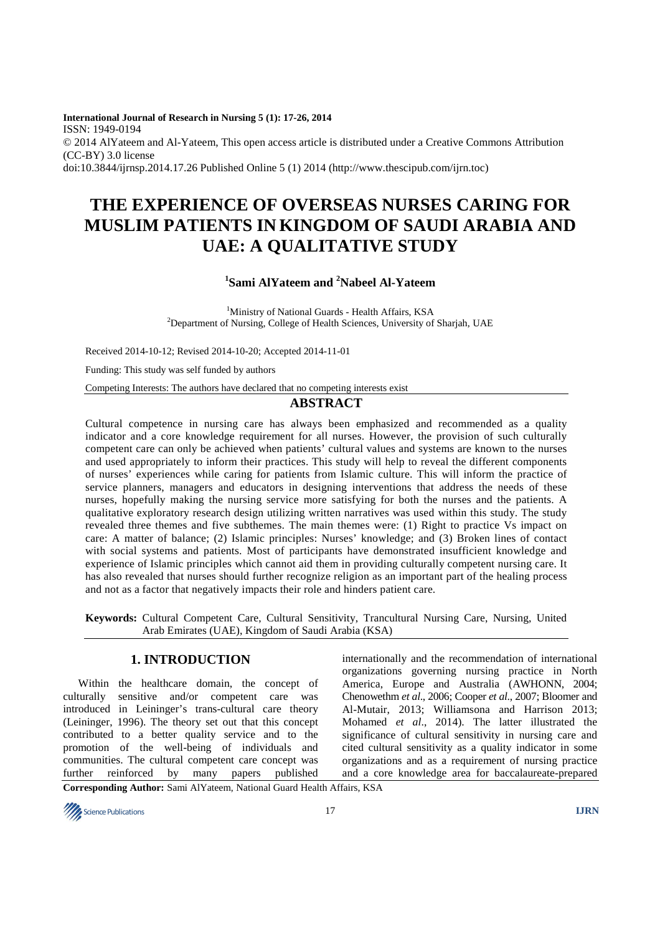**International Journal of Research in Nursing 5 (1): 17-26, 2014**  ISSN: 1949-0194 © 2014 AlYateem and Al-Yateem, This open access article is distributed under a Creative Commons Attribution (CC-BY) 3.0 license doi:10.3844/ijrnsp.2014.17.26 Published Online 5 (1) 2014 (http://www.thescipub.com/ijrn.toc)

# **THE EXPERIENCE OF OVERSEAS NURSES CARING FOR MUSLIM PATIENTS IN KINGDOM OF SAUDI ARABIA AND UAE: A QUALITATIVE STUDY**

# **1 Sami AlYateem and <sup>2</sup>Nabeel Al-Yateem**

<sup>1</sup>Ministry of National Guards - Health Affairs, KSA <sup>2</sup>Department of Nursing, College of Health Sciences, University of Sharjah, UAE

Received 2014-10-12; Revised 2014-10-20; Accepted 2014-11-01

Funding: This study was self funded by authors

Competing Interests: The authors have declared that no competing interests exist

## **ABSTRACT**

Cultural competence in nursing care has always been emphasized and recommended as a quality indicator and a core knowledge requirement for all nurses. However, the provision of such culturally competent care can only be achieved when patients' cultural values and systems are known to the nurses and used appropriately to inform their practices. This study will help to reveal the different components of nurses' experiences while caring for patients from Islamic culture. This will inform the practice of service planners, managers and educators in designing interventions that address the needs of these nurses, hopefully making the nursing service more satisfying for both the nurses and the patients. A qualitative exploratory research design utilizing written narratives was used within this study. The study revealed three themes and five subthemes. The main themes were: (1) Right to practice Vs impact on care: A matter of balance; (2) Islamic principles: Nurses' knowledge; and (3) Broken lines of contact with social systems and patients. Most of participants have demonstrated insufficient knowledge and experience of Islamic principles which cannot aid them in providing culturally competent nursing care. It has also revealed that nurses should further recognize religion as an important part of the healing process and not as a factor that negatively impacts their role and hinders patient care.

**Keywords:** Cultural Competent Care, Cultural Sensitivity, Trancultural Nursing Care, Nursing, United Arab Emirates (UAE), Kingdom of Saudi Arabia (KSA)

# **1. INTRODUCTION**

Within the healthcare domain, the concept of culturally sensitive and/or competent care was introduced in Leininger's trans-cultural care theory (Leininger, 1996). The theory set out that this concept contributed to a better quality service and to the promotion of the well-being of individuals and communities. The cultural competent care concept was<br>further reinforced by many papers published further reinforced by many papers

internationally and the recommendation of international organizations governing nursing practice in North America, Europe and Australia (AWHONN, 2004; Chenowethm *et al*., 2006; Cooper *et al*., 2007; Bloomer and Al-Mutair, 2013; Williamsona and Harrison 2013; Mohamed *et al*., 2014). The latter illustrated the significance of cultural sensitivity in nursing care and cited cultural sensitivity as a quality indicator in some organizations and as a requirement of nursing practice and a core knowledge area for baccalaureate-prepared

**Corresponding Author:** Sami AlYateem, National Guard Health Affairs, KSA

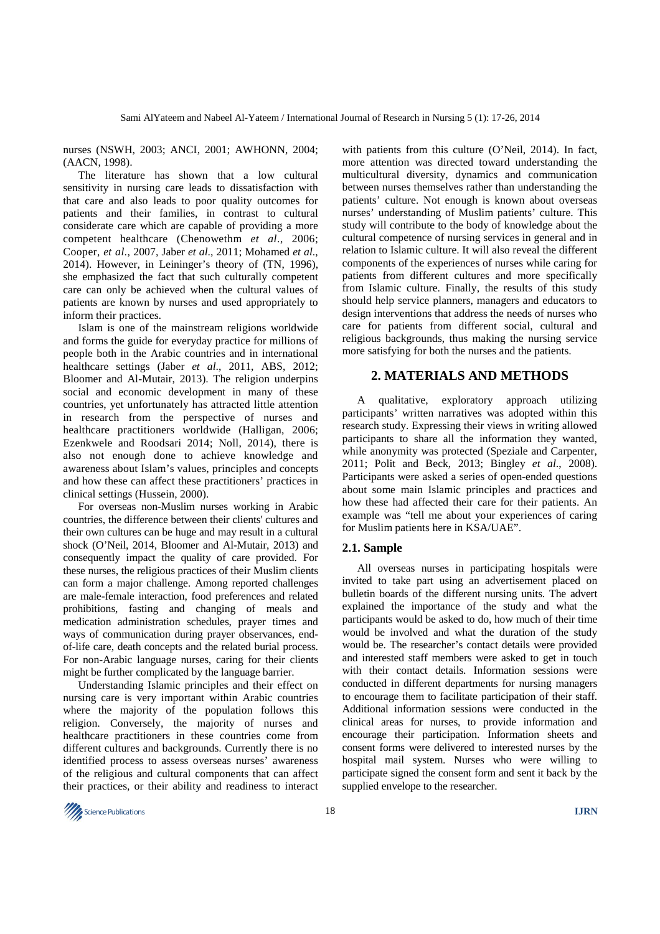nurses (NSWH, 2003; ANCI, 2001; AWHONN, 2004; (AACN, 1998).

The literature has shown that a low cultural sensitivity in nursing care leads to dissatisfaction with that care and also leads to poor quality outcomes for patients and their families, in contrast to cultural considerate care which are capable of providing a more competent healthcare (Chenowethm *et al*., 2006; Cooper, *et al*., 2007, Jaber *et al*., 2011; Mohamed *et al*., 2014). However, in Leininger's theory of (TN, 1996), she emphasized the fact that such culturally competent care can only be achieved when the cultural values of patients are known by nurses and used appropriately to inform their practices.

Islam is one of the mainstream religions worldwide and forms the guide for everyday practice for millions of people both in the Arabic countries and in international healthcare settings (Jaber *et al*., 2011, ABS, 2012; Bloomer and Al-Mutair, 2013). The religion underpins social and economic development in many of these countries, yet unfortunately has attracted little attention in research from the perspective of nurses and healthcare practitioners worldwide (Halligan, 2006; Ezenkwele and Roodsari 2014; Noll, 2014), there is also not enough done to achieve knowledge and awareness about Islam's values, principles and concepts and how these can affect these practitioners' practices in clinical settings (Hussein, 2000).

For overseas non-Muslim nurses working in Arabic countries, the difference between their clients' cultures and their own cultures can be huge and may result in a cultural shock (O'Neil, 2014, Bloomer and Al-Mutair, 2013) and consequently impact the quality of care provided. For these nurses, the religious practices of their Muslim clients can form a major challenge. Among reported challenges are male-female interaction, food preferences and related prohibitions, fasting and changing of meals and medication administration schedules, prayer times and ways of communication during prayer observances, endof-life care, death concepts and the related burial process. For non-Arabic language nurses, caring for their clients might be further complicated by the language barrier.

Understanding Islamic principles and their effect on nursing care is very important within Arabic countries where the majority of the population follows this religion. Conversely, the majority of nurses and healthcare practitioners in these countries come from different cultures and backgrounds. Currently there is no identified process to assess overseas nurses' awareness of the religious and cultural components that can affect their practices, or their ability and readiness to interact with patients from this culture (O'Neil, 2014). In fact, more attention was directed toward understanding the multicultural diversity, dynamics and communication between nurses themselves rather than understanding the patients' culture. Not enough is known about overseas nurses' understanding of Muslim patients' culture. This study will contribute to the body of knowledge about the cultural competence of nursing services in general and in relation to Islamic culture. It will also reveal the different components of the experiences of nurses while caring for patients from different cultures and more specifically from Islamic culture. Finally, the results of this study should help service planners, managers and educators to design interventions that address the needs of nurses who care for patients from different social, cultural and religious backgrounds, thus making the nursing service more satisfying for both the nurses and the patients.

## **2. MATERIALS AND METHODS**

A qualitative, exploratory approach utilizing participants' written narratives was adopted within this research study. Expressing their views in writing allowed participants to share all the information they wanted, while anonymity was protected (Speziale and Carpenter, 2011; Polit and Beck, 2013; Bingley *et al*., 2008). Participants were asked a series of open-ended questions about some main Islamic principles and practices and how these had affected their care for their patients. An example was "tell me about your experiences of caring for Muslim patients here in KSA/UAE".

#### **2.1. Sample**

All overseas nurses in participating hospitals were invited to take part using an advertisement placed on bulletin boards of the different nursing units. The advert explained the importance of the study and what the participants would be asked to do, how much of their time would be involved and what the duration of the study would be. The researcher's contact details were provided and interested staff members were asked to get in touch with their contact details. Information sessions were conducted in different departments for nursing managers to encourage them to facilitate participation of their staff. Additional information sessions were conducted in the clinical areas for nurses, to provide information and encourage their participation. Information sheets and consent forms were delivered to interested nurses by the hospital mail system. Nurses who were willing to participate signed the consent form and sent it back by the supplied envelope to the researcher.

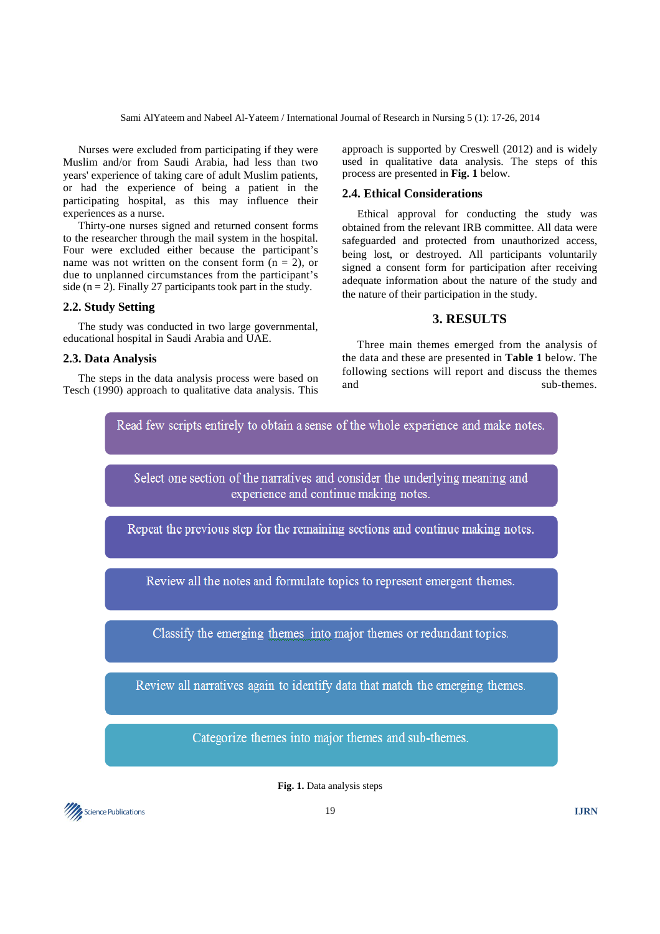Nurses were excluded from participating if they were Muslim and/or from Saudi Arabia, had less than two years' experience of taking care of adult Muslim patients, or had the experience of being a patient in the participating hospital, as this may influence their experiences as a nurse.

Thirty-one nurses signed and returned consent forms to the researcher through the mail system in the hospital. Four were excluded either because the participant's name was not written on the consent form  $(n = 2)$ , or due to unplanned circumstances from the participant's side ( $n = 2$ ). Finally 27 participants took part in the study.

#### **2.2. Study Setting**

The study was conducted in two large governmental, educational hospital in Saudi Arabia and UAE.

## **2.3. Data Analysis**

The steps in the data analysis process were based on Tesch (1990) approach to qualitative data analysis. This approach is supported by Creswell (2012) and is widely used in qualitative data analysis. The steps of this process are presented in **Fig. 1** below.

## **2.4. Ethical Considerations**

Ethical approval for conducting the study was obtained from the relevant IRB committee. All data were safeguarded and protected from unauthorized access, being lost, or destroyed. All participants voluntarily signed a consent form for participation after receiving adequate information about the nature of the study and the nature of their participation in the study.

## **3. RESULTS**

Three main themes emerged from the analysis of the data and these are presented in **Table 1** below. The following sections will report and discuss the themes and sub-themes.

Read few scripts entirely to obtain a sense of the whole experience and make notes.

Select one section of the narratives and consider the underlying meaning and experience and continue making notes.

Repeat the previous step for the remaining sections and continue making notes.

Review all the notes and formulate topics to represent emergent themes.

Classify the emerging themes into major themes or redundant topics.

Review all narratives again to identify data that match the emerging themes.

Categorize themes into major themes and sub-themes.

**Fig. 1.** Data analysis steps

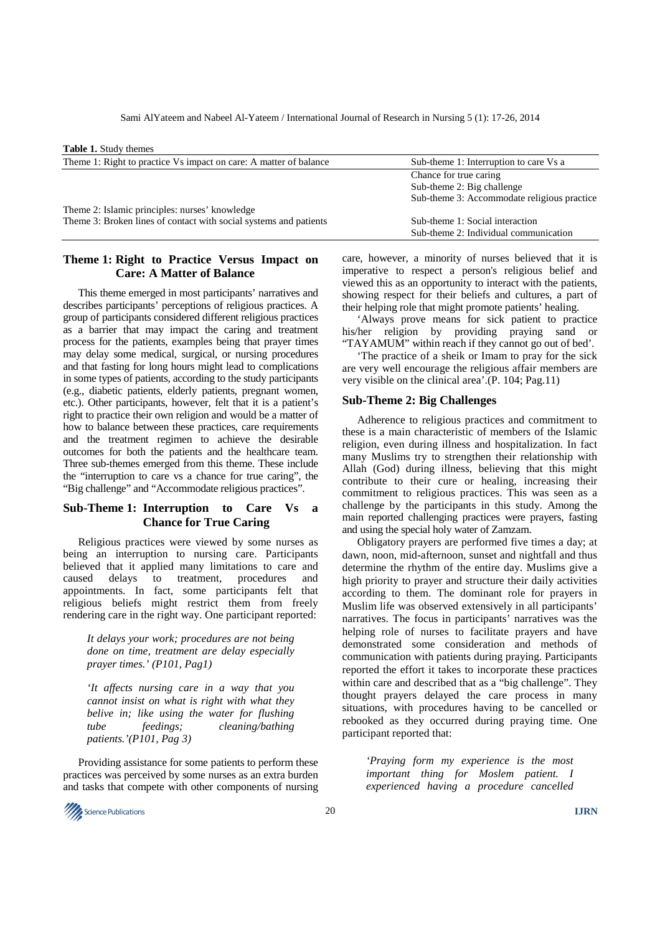**Table 1.** Study themes

| Sub-theme 1: Interruption to care Vs a      |
|---------------------------------------------|
| Chance for true caring                      |
| Sub-theme 2: Big challenge                  |
| Sub-theme 3: Accommodate religious practice |
|                                             |
| Sub-theme 1: Social interaction             |
| Sub-theme 2: Individual communication       |
|                                             |

# **Theme 1: Right to Practice Versus Impact on Care: A Matter of Balance**

This theme emerged in most participants' narratives and describes participants' perceptions of religious practices. A group of participants considered different religious practices as a barrier that may impact the caring and treatment process for the patients, examples being that prayer times may delay some medical, surgical, or nursing procedures and that fasting for long hours might lead to complications in some types of patients, according to the study participants (e.g., diabetic patients, elderly patients, pregnant women, etc.). Other participants, however, felt that it is a patient's right to practice their own religion and would be a matter of how to balance between these practices, care requirements and the treatment regimen to achieve the desirable outcomes for both the patients and the healthcare team. Three sub-themes emerged from this theme. These include the "interruption to care vs a chance for true caring", the "Big challenge" and "Accommodate religious practices".

## **Sub-Theme 1: Interruption to Care Vs a Chance for True Caring**

Religious practices were viewed by some nurses as being an interruption to nursing care. Participants believed that it applied many limitations to care and caused delays to treatment, procedures and appointments. In fact, some participants felt that religious beliefs might restrict them from freely rendering care in the right way. One participant reported:

*It delays your work; procedures are not being done on time, treatment are delay especially prayer times.' (P101, Pag1)* 

*'It affects nursing care in a way that you cannot insist on what is right with what they belive in; like using the water for flushing tube feedings; cleaning/bathing patients.'(P101, Pag 3)* 

Providing assistance for some patients to perform these practices was perceived by some nurses as an extra burden and tasks that compete with other components of nursing care, however, a minority of nurses believed that it is imperative to respect a person's religious belief and viewed this as an opportunity to interact with the patients, showing respect for their beliefs and cultures, a part of their helping role that might promote patients' healing.

'Always prove means for sick patient to practice his/her religion by providing praying sand or "TAYAMUM" within reach if they cannot go out of bed'.

'The practice of a sheik or Imam to pray for the sick are very well encourage the religious affair members are very visible on the clinical area'.(P. 104; Pag.11)

#### **Sub-Theme 2: Big Challenges**

Adherence to religious practices and commitment to these is a main characteristic of members of the Islamic religion, even during illness and hospitalization. In fact many Muslims try to strengthen their relationship with Allah (God) during illness, believing that this might contribute to their cure or healing, increasing their commitment to religious practices. This was seen as a challenge by the participants in this study. Among the main reported challenging practices were prayers, fasting and using the special holy water of Zamzam.

Obligatory prayers are performed five times a day; at dawn, noon, mid-afternoon, sunset and nightfall and thus determine the rhythm of the entire day. Muslims give a high priority to prayer and structure their daily activities according to them. The dominant role for prayers in Muslim life was observed extensively in all participants' narratives. The focus in participants' narratives was the helping role of nurses to facilitate prayers and have demonstrated some consideration and methods of communication with patients during praying. Participants reported the effort it takes to incorporate these practices within care and described that as a "big challenge". They thought prayers delayed the care process in many situations, with procedures having to be cancelled or rebooked as they occurred during praying time. One participant reported that:

*'Praying form my experience is the most important thing for Moslem patient. I experienced having a procedure cancelled* 

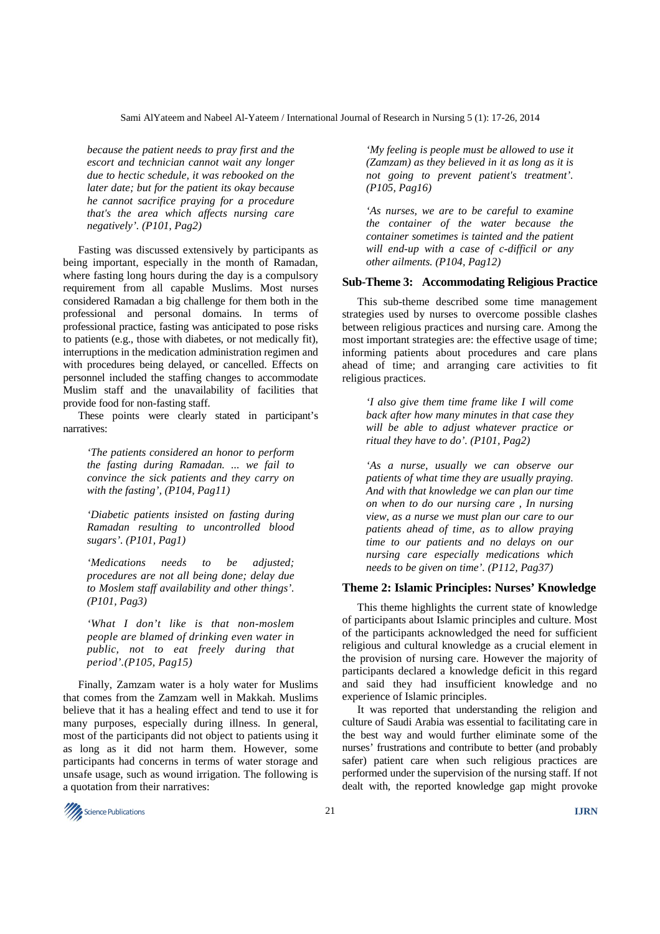*because the patient needs to pray first and the escort and technician cannot wait any longer due to hectic schedule, it was rebooked on the later date; but for the patient its okay because he cannot sacrifice praying for a procedure that's the area which affects nursing care negatively'. (P101, Pag2)* 

Fasting was discussed extensively by participants as being important, especially in the month of Ramadan, where fasting long hours during the day is a compulsory requirement from all capable Muslims. Most nurses considered Ramadan a big challenge for them both in the professional and personal domains. In terms of professional practice, fasting was anticipated to pose risks to patients (e.g., those with diabetes, or not medically fit), interruptions in the medication administration regimen and with procedures being delayed, or cancelled. Effects on personnel included the staffing changes to accommodate Muslim staff and the unavailability of facilities that provide food for non-fasting staff.

These points were clearly stated in participant's narratives:

*'The patients considered an honor to perform the fasting during Ramadan. ... we fail to convince the sick patients and they carry on with the fasting', (P104, Pag11)* 

*'Diabetic patients insisted on fasting during Ramadan resulting to uncontrolled blood sugars'. (P101, Pag1)* 

*'Medications needs to be adjusted; procedures are not all being done; delay due to Moslem staff availability and other things'. (P101, Pag3)* 

*'What I don't like is that non-moslem people are blamed of drinking even water in public, not to eat freely during that period'.(P105, Pag15)* 

Finally, Zamzam water is a holy water for Muslims that comes from the Zamzam well in Makkah. Muslims believe that it has a healing effect and tend to use it for many purposes, especially during illness. In general, most of the participants did not object to patients using it as long as it did not harm them. However, some participants had concerns in terms of water storage and unsafe usage, such as wound irrigation. The following is a quotation from their narratives:

*'My feeling is people must be allowed to use it (Zamzam) as they believed in it as long as it is not going to prevent patient's treatment'. (P105, Pag16)* 

*'As nurses, we are to be careful to examine the container of the water because the container sometimes is tainted and the patient will end-up with a case of c-difficil or any other ailments. (P104, Pag12)* 

#### **Sub-Theme 3: Accommodating Religious Practice**

This sub-theme described some time management strategies used by nurses to overcome possible clashes between religious practices and nursing care. Among the most important strategies are: the effective usage of time; informing patients about procedures and care plans ahead of time; and arranging care activities to fit religious practices.

*'I also give them time frame like I will come back after how many minutes in that case they will be able to adjust whatever practice or ritual they have to do'. (P101, Pag2)* 

*'As a nurse, usually we can observe our patients of what time they are usually praying. And with that knowledge we can plan our time on when to do our nursing care , In nursing view, as a nurse we must plan our care to our patients ahead of time, as to allow praying time to our patients and no delays on our nursing care especially medications which needs to be given on time'. (P112, Pag37)* 

#### **Theme 2: Islamic Principles: Nurses' Knowledge**

This theme highlights the current state of knowledge of participants about Islamic principles and culture. Most of the participants acknowledged the need for sufficient religious and cultural knowledge as a crucial element in the provision of nursing care. However the majority of participants declared a knowledge deficit in this regard and said they had insufficient knowledge and no experience of Islamic principles.

It was reported that understanding the religion and culture of Saudi Arabia was essential to facilitating care in the best way and would further eliminate some of the nurses' frustrations and contribute to better (and probably safer) patient care when such religious practices are performed under the supervision of the nursing staff. If not dealt with, the reported knowledge gap might provoke

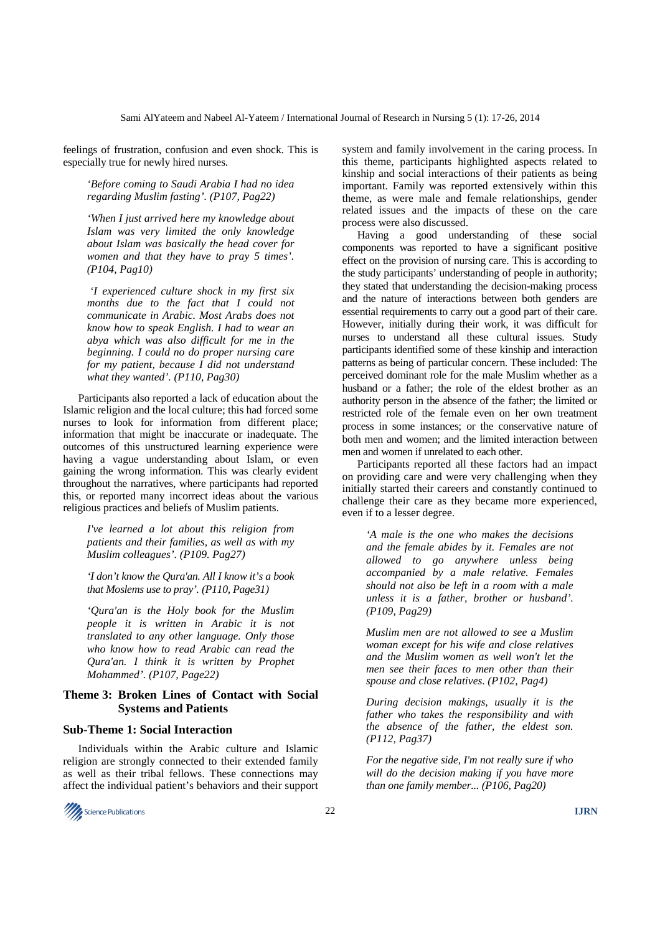feelings of frustration, confusion and even shock. This is especially true for newly hired nurses.

*'Before coming to Saudi Arabia I had no idea regarding Muslim fasting'. (P107, Pag22)* 

*'When I just arrived here my knowledge about Islam was very limited the only knowledge about Islam was basically the head cover for women and that they have to pray 5 times'. (P104, Pag10)* 

 *'I experienced culture shock in my first six months due to the fact that I could not communicate in Arabic. Most Arabs does not know how to speak English. I had to wear an abya which was also difficult for me in the beginning. I could no do proper nursing care for my patient, because I did not understand what they wanted'. (P110, Pag30)* 

Participants also reported a lack of education about the Islamic religion and the local culture; this had forced some nurses to look for information from different place; information that might be inaccurate or inadequate. The outcomes of this unstructured learning experience were having a vague understanding about Islam, or even gaining the wrong information. This was clearly evident throughout the narratives, where participants had reported this, or reported many incorrect ideas about the various religious practices and beliefs of Muslim patients.

*I've learned a lot about this religion from patients and their families, as well as with my Muslim colleagues'. (P109. Pag27)* 

*'I don't know the Qura'an. All I know it's a book that Moslems use to pray'. (P110, Page31)* 

*'Qura'an is the Holy book for the Muslim people it is written in Arabic it is not translated to any other language. Only those who know how to read Arabic can read the Qura'an. I think it is written by Prophet Mohammed'. (P107, Page22)* 

## **Theme 3: Broken Lines of Contact with Social Systems and Patients**

#### **Sub-Theme 1: Social Interaction**

Individuals within the Arabic culture and Islamic religion are strongly connected to their extended family as well as their tribal fellows. These connections may affect the individual patient's behaviors and their support



system and family involvement in the caring process. In this theme, participants highlighted aspects related to kinship and social interactions of their patients as being important. Family was reported extensively within this theme, as were male and female relationships, gender related issues and the impacts of these on the care process were also discussed.

Having a good understanding of these social components was reported to have a significant positive effect on the provision of nursing care. This is according to the study participants' understanding of people in authority; they stated that understanding the decision-making process and the nature of interactions between both genders are essential requirements to carry out a good part of their care. However, initially during their work, it was difficult for nurses to understand all these cultural issues. Study participants identified some of these kinship and interaction patterns as being of particular concern. These included: The perceived dominant role for the male Muslim whether as a husband or a father; the role of the eldest brother as an authority person in the absence of the father; the limited or restricted role of the female even on her own treatment process in some instances; or the conservative nature of both men and women; and the limited interaction between men and women if unrelated to each other.

Participants reported all these factors had an impact on providing care and were very challenging when they initially started their careers and constantly continued to challenge their care as they became more experienced, even if to a lesser degree.

*'A male is the one who makes the decisions and the female abides by it. Females are not allowed to go anywhere unless being accompanied by a male relative. Females should not also be left in a room with a male unless it is a father, brother or husband'. (P109, Pag29)* 

*Muslim men are not allowed to see a Muslim woman except for his wife and close relatives and the Muslim women as well won't let the men see their faces to men other than their spouse and close relatives. (P102, Pag4)* 

*During decision makings, usually it is the father who takes the responsibility and with the absence of the father, the eldest son. (P112, Pag37)* 

*For the negative side, I'm not really sure if who will do the decision making if you have more than one family member... (P106, Pag20)*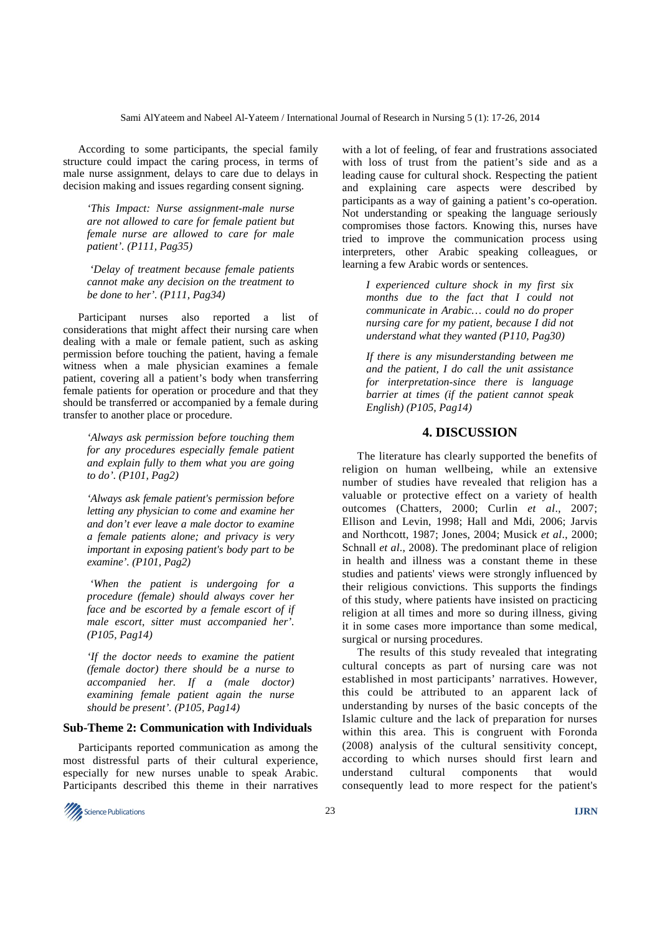According to some participants, the special family structure could impact the caring process, in terms of male nurse assignment, delays to care due to delays in decision making and issues regarding consent signing.

*'This Impact: Nurse assignment-male nurse are not allowed to care for female patient but female nurse are allowed to care for male patient'. (P111, Pag35)* 

 *'Delay of treatment because female patients cannot make any decision on the treatment to be done to her'. (P111, Pag34)* 

Participant nurses also reported a list of considerations that might affect their nursing care when dealing with a male or female patient, such as asking permission before touching the patient, having a female witness when a male physician examines a female patient, covering all a patient's body when transferring female patients for operation or procedure and that they should be transferred or accompanied by a female during transfer to another place or procedure.

*'Always ask permission before touching them for any procedures especially female patient and explain fully to them what you are going to do'. (P101, Pag2)* 

*'Always ask female patient's permission before letting any physician to come and examine her and don't ever leave a male doctor to examine a female patients alone; and privacy is very important in exposing patient's body part to be examine'. (P101, Pag2)* 

 *'When the patient is undergoing for a procedure (female) should always cover her face and be escorted by a female escort of if male escort, sitter must accompanied her'. (P105, Pag14)* 

*'If the doctor needs to examine the patient (female doctor) there should be a nurse to accompanied her. If a (male doctor) examining female patient again the nurse should be present'. (P105, Pag14)* 

## **Sub-Theme 2: Communication with Individuals**

Participants reported communication as among the most distressful parts of their cultural experience, especially for new nurses unable to speak Arabic. Participants described this theme in their narratives

with a lot of feeling, of fear and frustrations associated with loss of trust from the patient's side and as a leading cause for cultural shock. Respecting the patient and explaining care aspects were described by participants as a way of gaining a patient's co-operation. Not understanding or speaking the language seriously compromises those factors. Knowing this, nurses have tried to improve the communication process using interpreters, other Arabic speaking colleagues, or learning a few Arabic words or sentences.

*I experienced culture shock in my first six months due to the fact that I could not communicate in Arabic… could no do proper nursing care for my patient, because I did not understand what they wanted (P110, Pag30)* 

*If there is any misunderstanding between me and the patient, I do call the unit assistance for interpretation-since there is language barrier at times (if the patient cannot speak English) (P105, Pag14)* 

## **4. DISCUSSION**

The literature has clearly supported the benefits of religion on human wellbeing, while an extensive number of studies have revealed that religion has a valuable or protective effect on a variety of health outcomes (Chatters, 2000; Curlin *et al*., 2007; Ellison and Levin, 1998; Hall and Mdi, 2006; Jarvis and Northcott, 1987; Jones, 2004; Musick *et al*., 2000; Schnall *et al*., 2008). The predominant place of religion in health and illness was a constant theme in these studies and patients' views were strongly influenced by their religious convictions. This supports the findings of this study, where patients have insisted on practicing religion at all times and more so during illness, giving it in some cases more importance than some medical, surgical or nursing procedures.

The results of this study revealed that integrating cultural concepts as part of nursing care was not established in most participants' narratives. However, this could be attributed to an apparent lack of understanding by nurses of the basic concepts of the Islamic culture and the lack of preparation for nurses within this area. This is congruent with Foronda (2008) analysis of the cultural sensitivity concept, according to which nurses should first learn and understand cultural components that would consequently lead to more respect for the patient's

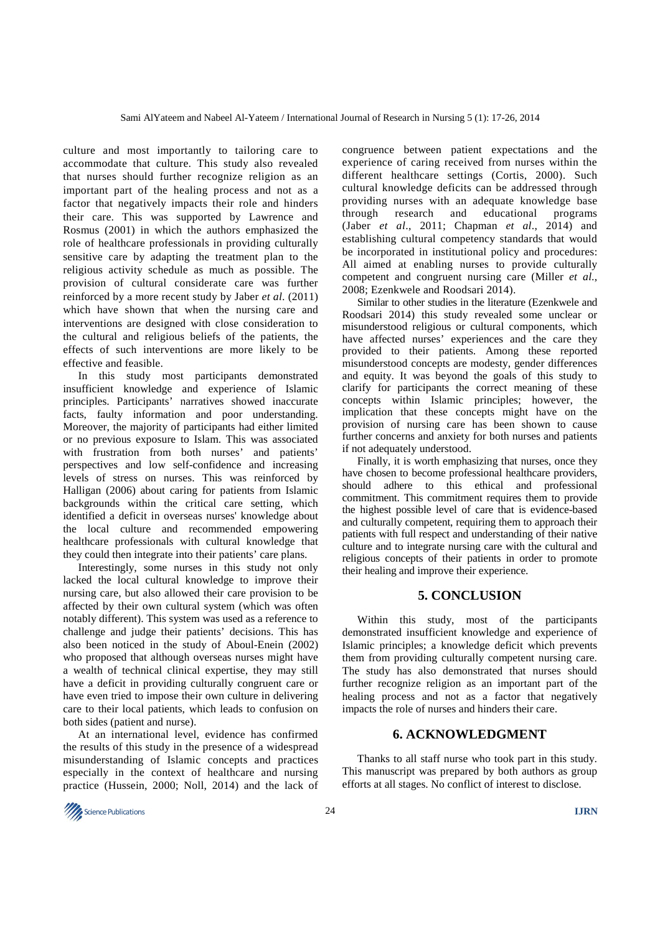culture and most importantly to tailoring care to accommodate that culture. This study also revealed that nurses should further recognize religion as an important part of the healing process and not as a factor that negatively impacts their role and hinders their care. This was supported by Lawrence and Rosmus (2001) in which the authors emphasized the role of healthcare professionals in providing culturally sensitive care by adapting the treatment plan to the religious activity schedule as much as possible. The provision of cultural considerate care was further reinforced by a more recent study by Jaber *et al*. (2011) which have shown that when the nursing care and interventions are designed with close consideration to the cultural and religious beliefs of the patients, the effects of such interventions are more likely to be effective and feasible.

In this study most participants demonstrated insufficient knowledge and experience of Islamic principles. Participants' narratives showed inaccurate facts, faulty information and poor understanding. Moreover, the majority of participants had either limited or no previous exposure to Islam. This was associated with frustration from both nurses' and patients' perspectives and low self-confidence and increasing levels of stress on nurses. This was reinforced by Halligan (2006) about caring for patients from Islamic backgrounds within the critical care setting, which identified a deficit in overseas nurses' knowledge about the local culture and recommended empowering healthcare professionals with cultural knowledge that they could then integrate into their patients' care plans.

Interestingly, some nurses in this study not only lacked the local cultural knowledge to improve their nursing care, but also allowed their care provision to be affected by their own cultural system (which was often notably different). This system was used as a reference to challenge and judge their patients' decisions. This has also been noticed in the study of Aboul-Enein (2002) who proposed that although overseas nurses might have a wealth of technical clinical expertise, they may still have a deficit in providing culturally congruent care or have even tried to impose their own culture in delivering care to their local patients, which leads to confusion on both sides (patient and nurse).

At an international level, evidence has confirmed the results of this study in the presence of a widespread misunderstanding of Islamic concepts and practices especially in the context of healthcare and nursing practice (Hussein, 2000; Noll, 2014) and the lack of congruence between patient expectations and the experience of caring received from nurses within the different healthcare settings (Cortis, 2000). Such cultural knowledge deficits can be addressed through providing nurses with an adequate knowledge base through research and educational programs (Jaber *et al*., 2011; Chapman *et al*., 2014) and establishing cultural competency standards that would be incorporated in institutional policy and procedures: All aimed at enabling nurses to provide culturally competent and congruent nursing care (Miller *et al*., 2008; Ezenkwele and Roodsari 2014).

Similar to other studies in the literature (Ezenkwele and Roodsari 2014) this study revealed some unclear or misunderstood religious or cultural components, which have affected nurses' experiences and the care they provided to their patients. Among these reported misunderstood concepts are modesty, gender differences and equity. It was beyond the goals of this study to clarify for participants the correct meaning of these concepts within Islamic principles; however, the implication that these concepts might have on the provision of nursing care has been shown to cause further concerns and anxiety for both nurses and patients if not adequately understood.

Finally, it is worth emphasizing that nurses, once they have chosen to become professional healthcare providers, should adhere to this ethical and professional commitment. This commitment requires them to provide the highest possible level of care that is evidence-based and culturally competent, requiring them to approach their patients with full respect and understanding of their native culture and to integrate nursing care with the cultural and religious concepts of their patients in order to promote their healing and improve their experience.

## **5. CONCLUSION**

Within this study, most of the participants demonstrated insufficient knowledge and experience of Islamic principles; a knowledge deficit which prevents them from providing culturally competent nursing care. The study has also demonstrated that nurses should further recognize religion as an important part of the healing process and not as a factor that negatively impacts the role of nurses and hinders their care.

# **6. ACKNOWLEDGMENT**

Thanks to all staff nurse who took part in this study. This manuscript was prepared by both authors as group efforts at all stages. No conflict of interest to disclose.

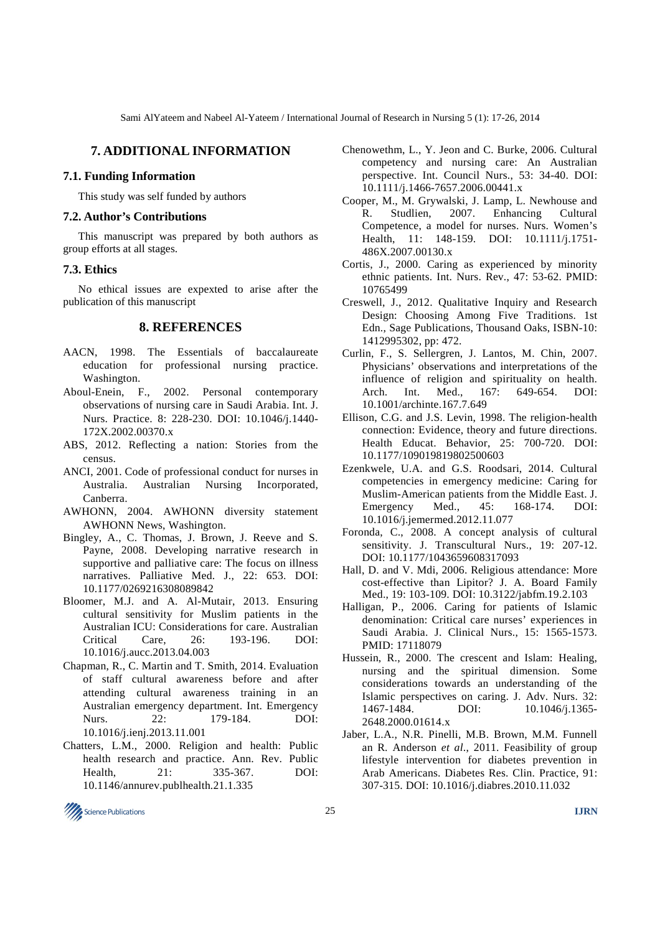# **7. ADDITIONAL INFORMATION**

#### **7.1. Funding Information**

This study was self funded by authors

#### **7.2. Author's Contributions**

This manuscript was prepared by both authors as group efforts at all stages.

#### **7.3. Ethics**

No ethical issues are expexted to arise after the publication of this manuscript

## **8. REFERENCES**

- AACN, 1998. The Essentials of baccalaureate education for professional nursing practice. Washington.
- Aboul-Enein, F., 2002. Personal contemporary observations of nursing care in Saudi Arabia. Int. J. Nurs. Practice. 8: 228-230. DOI: 10.1046/j.1440- 172X.2002.00370.x
- ABS, 2012. Reflecting a nation: Stories from the census.
- ANCI, 2001. Code of professional conduct for nurses in Australia. Australian Nursing Incorporated, Canberra.
- AWHONN, 2004. AWHONN diversity statement AWHONN News, Washington.
- Bingley, A., C. Thomas, J. Brown, J. Reeve and S. Payne, 2008. Developing narrative research in supportive and palliative care: The focus on illness narratives. Palliative Med. J., 22: 653. DOI: 10.1177/0269216308089842
- Bloomer, M.J. and A. Al-Mutair, 2013. Ensuring cultural sensitivity for Muslim patients in the Australian ICU: Considerations for care. Australian Critical Care, 26: 193-196. DOI: 10.1016/j.aucc.2013.04.003
- Chapman, R., C. Martin and T. Smith, 2014. Evaluation of staff cultural awareness before and after attending cultural awareness training in an Australian emergency department. Int. Emergency Nurs. 22: 179-184. DOI: 10.1016/j.ienj.2013.11.001
- Chatters, L.M., 2000. Religion and health: Public health research and practice. Ann. Rev. Public Health, 21: 335-367. DOI: 10.1146/annurev.publhealth.21.1.335
- Chenowethm, L., Y. Jeon and C. Burke, 2006. Cultural competency and nursing care: An Australian perspective. Int. Council Nurs., 53: 34-40. DOI: 10.1111/j.1466-7657.2006.00441.x
- Cooper, M., M. Grywalski, J. Lamp, L. Newhouse and R. Studlien, 2007. Enhancing Cultural Competence, a model for nurses. Nurs. Women's Health, 11: 148-159. DOI: 10.1111/j.1751- 486X.2007.00130.x
- Cortis, J., 2000. Caring as experienced by minority ethnic patients. Int. Nurs. Rev., 47: 53-62. PMID: 10765499
- Creswell, J., 2012. Qualitative Inquiry and Research Design: Choosing Among Five Traditions. 1st Edn., Sage Publications, Thousand Oaks, ISBN-10: 1412995302, pp: 472.
- Curlin, F., S. Sellergren, J. Lantos, M. Chin, 2007. Physicians' observations and interpretations of the influence of religion and spirituality on health. Arch. Int. Med., 167: 649-654. DOI: 10.1001/archinte.167.7.649
- Ellison, C.G. and J.S. Levin, 1998. The religion-health connection: Evidence, theory and future directions. Health Educat. Behavior, 25: 700-720. DOI: 10.1177/109019819802500603
- Ezenkwele, U.A. and G.S. Roodsari, 2014. Cultural competencies in emergency medicine: Caring for Muslim-American patients from the Middle East. J. Emergency Med., 45: 168-174. DOI: 10.1016/j.jemermed.2012.11.077
- Foronda, C., 2008. A concept analysis of cultural sensitivity. J. Transcultural Nurs., 19: 207-12. DOI: 10.1177/1043659608317093
- Hall, D. and V. Mdi, 2006. Religious attendance: More cost-effective than Lipitor? J. A. Board Family Med., 19: 103-109. DOI: 10.3122/jabfm.19.2.103
- Halligan, P., 2006. Caring for patients of Islamic denomination: Critical care nurses' experiences in Saudi Arabia. J. Clinical Nurs., 15: 1565-1573. PMID: 17118079
- Hussein, R., 2000. The crescent and Islam: Healing, nursing and the spiritual dimension. Some considerations towards an understanding of the Islamic perspectives on caring. J. Adv. Nurs. 32: 1467-1484. DOI: 10.1046/j.1365-2648.2000.01614.x
- Jaber, L.A., N.R. Pinelli, M.B. Brown, M.M. Funnell an R. Anderson *et al*., 2011. Feasibility of group lifestyle intervention for diabetes prevention in Arab Americans. Diabetes Res. Clin. Practice, 91: 307-315. DOI: 10.1016/j.diabres.2010.11.032